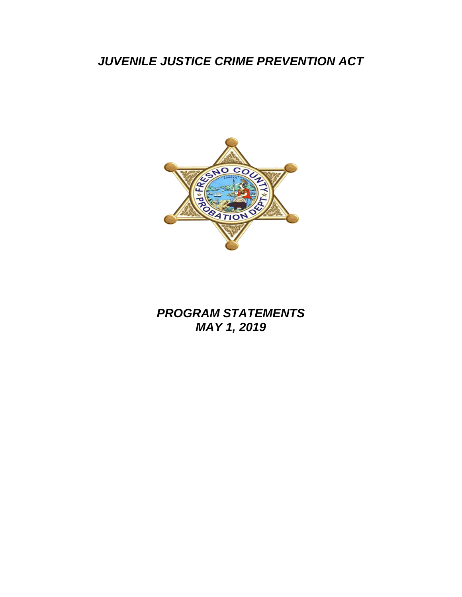# *JUVENILE JUSTICE CRIME PREVENTION ACT*



# *PROGRAM STATEMENTS MAY 1, 2019*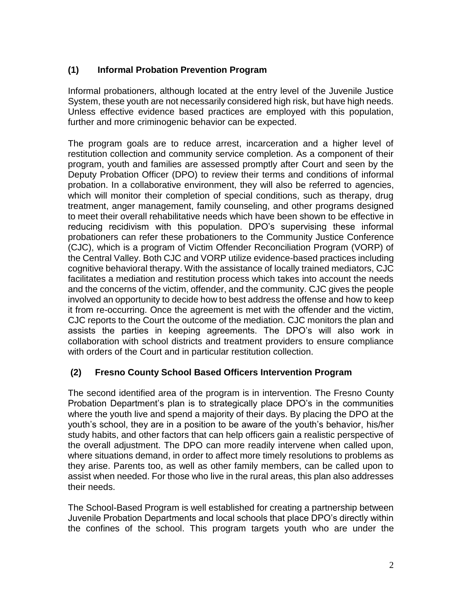# **(1) Informal Probation Prevention Program**

Informal probationers, although located at the entry level of the Juvenile Justice System, these youth are not necessarily considered high risk, but have high needs. Unless effective evidence based practices are employed with this population, further and more criminogenic behavior can be expected.

The program goals are to reduce arrest, incarceration and a higher level of restitution collection and community service completion. As a component of their program, youth and families are assessed promptly after Court and seen by the Deputy Probation Officer (DPO) to review their terms and conditions of informal probation. In a collaborative environment, they will also be referred to agencies, which will monitor their completion of special conditions, such as therapy, drug treatment, anger management, family counseling, and other programs designed to meet their overall rehabilitative needs which have been shown to be effective in reducing recidivism with this population. DPO's supervising these informal probationers can refer these probationers to the Community Justice Conference (CJC), which is a program of Victim Offender Reconciliation Program (VORP) of the Central Valley. Both CJC and VORP utilize evidence-based practices including cognitive behavioral therapy. With the assistance of locally trained mediators, CJC facilitates a mediation and restitution process which takes into account the needs and the concerns of the victim, offender, and the community. CJC gives the people involved an opportunity to decide how to best address the offense and how to keep it from re-occurring. Once the agreement is met with the offender and the victim, CJC reports to the Court the outcome of the mediation. CJC monitors the plan and assists the parties in keeping agreements. The DPO's will also work in collaboration with school districts and treatment providers to ensure compliance with orders of the Court and in particular restitution collection.

#### **(2) Fresno County School Based Officers Intervention Program**

The second identified area of the program is in intervention. The Fresno County Probation Department's plan is to strategically place DPO's in the communities where the youth live and spend a majority of their days. By placing the DPO at the youth's school, they are in a position to be aware of the youth's behavior, his/her study habits, and other factors that can help officers gain a realistic perspective of the overall adjustment. The DPO can more readily intervene when called upon, where situations demand, in order to affect more timely resolutions to problems as they arise. Parents too, as well as other family members, can be called upon to assist when needed. For those who live in the rural areas, this plan also addresses their needs.

The School-Based Program is well established for creating a partnership between Juvenile Probation Departments and local schools that place DPO's directly within the confines of the school. This program targets youth who are under the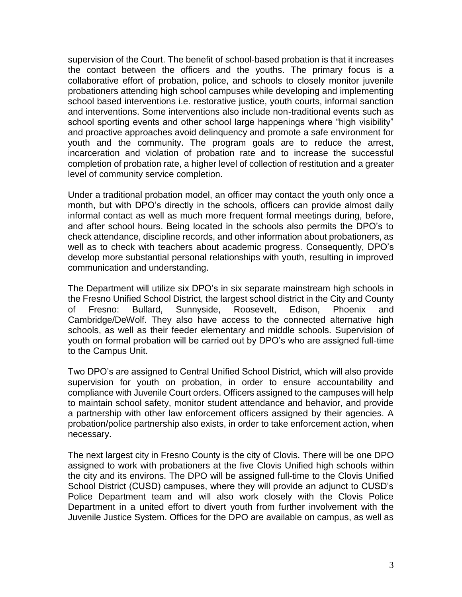supervision of the Court. The benefit of school-based probation is that it increases the contact between the officers and the youths. The primary focus is a collaborative effort of probation, police, and schools to closely monitor juvenile probationers attending high school campuses while developing and implementing school based interventions i.e. restorative justice, youth courts, informal sanction and interventions. Some interventions also include non-traditional events such as school sporting events and other school large happenings where "high visibility" and proactive approaches avoid delinquency and promote a safe environment for youth and the community. The program goals are to reduce the arrest, incarceration and violation of probation rate and to increase the successful completion of probation rate, a higher level of collection of restitution and a greater level of community service completion.

Under a traditional probation model, an officer may contact the youth only once a month, but with DPO's directly in the schools, officers can provide almost daily informal contact as well as much more frequent formal meetings during, before, and after school hours. Being located in the schools also permits the DPO's to check attendance, discipline records, and other information about probationers, as well as to check with teachers about academic progress. Consequently, DPO's develop more substantial personal relationships with youth, resulting in improved communication and understanding.

The Department will utilize six DPO's in six separate mainstream high schools in the Fresno Unified School District, the largest school district in the City and County of Fresno: Bullard, Sunnyside, Roosevelt, Edison, Phoenix and Cambridge/DeWolf. They also have access to the connected alternative high schools, as well as their feeder elementary and middle schools. Supervision of youth on formal probation will be carried out by DPO's who are assigned full-time to the Campus Unit.

Two DPO's are assigned to Central Unified School District, which will also provide supervision for youth on probation, in order to ensure accountability and compliance with Juvenile Court orders. Officers assigned to the campuses will help to maintain school safety, monitor student attendance and behavior, and provide a partnership with other law enforcement officers assigned by their agencies. A probation/police partnership also exists, in order to take enforcement action, when necessary.

The next largest city in Fresno County is the city of Clovis. There will be one DPO assigned to work with probationers at the five Clovis Unified high schools within the city and its environs. The DPO will be assigned full-time to the Clovis Unified School District (CUSD) campuses, where they will provide an adjunct to CUSD's Police Department team and will also work closely with the Clovis Police Department in a united effort to divert youth from further involvement with the Juvenile Justice System. Offices for the DPO are available on campus, as well as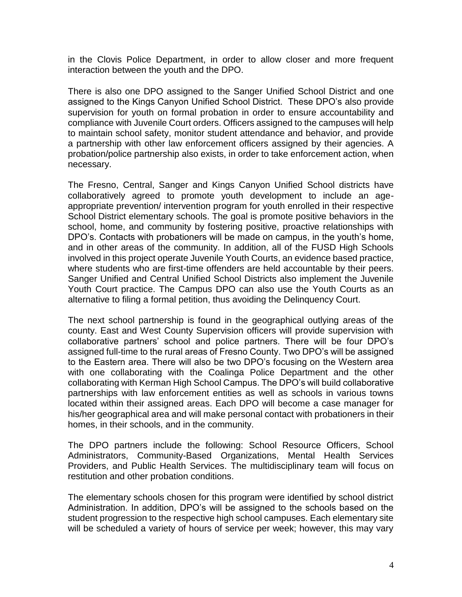in the Clovis Police Department, in order to allow closer and more frequent interaction between the youth and the DPO.

There is also one DPO assigned to the Sanger Unified School District and one assigned to the Kings Canyon Unified School District. These DPO's also provide supervision for youth on formal probation in order to ensure accountability and compliance with Juvenile Court orders. Officers assigned to the campuses will help to maintain school safety, monitor student attendance and behavior, and provide a partnership with other law enforcement officers assigned by their agencies. A probation/police partnership also exists, in order to take enforcement action, when necessary.

The Fresno, Central, Sanger and Kings Canyon Unified School districts have collaboratively agreed to promote youth development to include an ageappropriate prevention/ intervention program for youth enrolled in their respective School District elementary schools. The goal is promote positive behaviors in the school, home, and community by fostering positive, proactive relationships with DPO's. Contacts with probationers will be made on campus, in the youth's home, and in other areas of the community. In addition, all of the FUSD High Schools involved in this project operate Juvenile Youth Courts, an evidence based practice, where students who are first-time offenders are held accountable by their peers. Sanger Unified and Central Unified School Districts also implement the Juvenile Youth Court practice. The Campus DPO can also use the Youth Courts as an alternative to filing a formal petition, thus avoiding the Delinquency Court.

The next school partnership is found in the geographical outlying areas of the county. East and West County Supervision officers will provide supervision with collaborative partners' school and police partners. There will be four DPO's assigned full-time to the rural areas of Fresno County. Two DPO's will be assigned to the Eastern area. There will also be two DPO's focusing on the Western area with one collaborating with the Coalinga Police Department and the other collaborating with Kerman High School Campus. The DPO's will build collaborative partnerships with law enforcement entities as well as schools in various towns located within their assigned areas. Each DPO will become a case manager for his/her geographical area and will make personal contact with probationers in their homes, in their schools, and in the community.

The DPO partners include the following: School Resource Officers, School Administrators, Community-Based Organizations, Mental Health Services Providers, and Public Health Services. The multidisciplinary team will focus on restitution and other probation conditions.

The elementary schools chosen for this program were identified by school district Administration. In addition, DPO's will be assigned to the schools based on the student progression to the respective high school campuses. Each elementary site will be scheduled a variety of hours of service per week; however, this may vary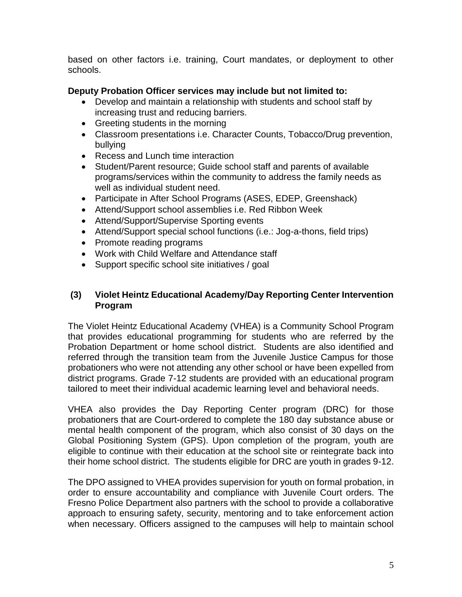based on other factors i.e. training, Court mandates, or deployment to other schools.

## **Deputy Probation Officer services may include but not limited to:**

- Develop and maintain a relationship with students and school staff by increasing trust and reducing barriers.
- Greeting students in the morning
- Classroom presentations i.e. Character Counts, Tobacco/Drug prevention, bullying
- Recess and Lunch time interaction
- Student/Parent resource; Guide school staff and parents of available programs/services within the community to address the family needs as well as individual student need.
- Participate in After School Programs (ASES, EDEP, Greenshack)
- Attend/Support school assemblies i.e. Red Ribbon Week
- Attend/Support/Supervise Sporting events
- Attend/Support special school functions (i.e.: Jog-a-thons, field trips)
- Promote reading programs
- Work with Child Welfare and Attendance staff
- Support specific school site initiatives / goal

#### **(3) Violet Heintz Educational Academy/Day Reporting Center Intervention Program**

The Violet Heintz Educational Academy (VHEA) is a Community School Program that provides educational programming for students who are referred by the Probation Department or home school district. Students are also identified and referred through the transition team from the Juvenile Justice Campus for those probationers who were not attending any other school or have been expelled from district programs. Grade 7-12 students are provided with an educational program tailored to meet their individual academic learning level and behavioral needs.

VHEA also provides the Day Reporting Center program (DRC) for those probationers that are Court-ordered to complete the 180 day substance abuse or mental health component of the program, which also consist of 30 days on the Global Positioning System (GPS). Upon completion of the program, youth are eligible to continue with their education at the school site or reintegrate back into their home school district. The students eligible for DRC are youth in grades 9-12.

The DPO assigned to VHEA provides supervision for youth on formal probation, in order to ensure accountability and compliance with Juvenile Court orders. The Fresno Police Department also partners with the school to provide a collaborative approach to ensuring safety, security, mentoring and to take enforcement action when necessary. Officers assigned to the campuses will help to maintain school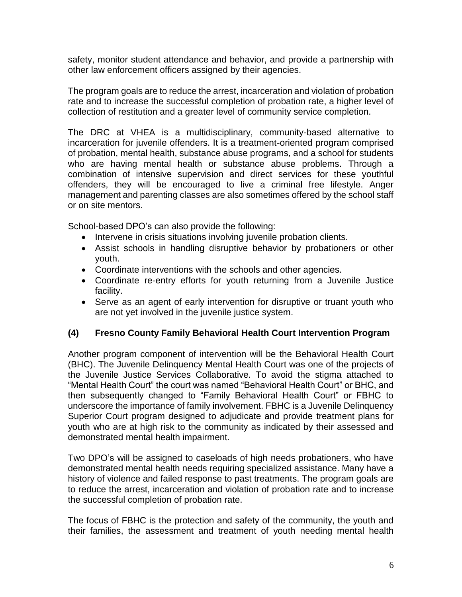safety, monitor student attendance and behavior, and provide a partnership with other law enforcement officers assigned by their agencies.

The program goals are to reduce the arrest, incarceration and violation of probation rate and to increase the successful completion of probation rate, a higher level of collection of restitution and a greater level of community service completion.

The DRC at VHEA is a multidisciplinary, community-based alternative to incarceration for juvenile offenders. It is a treatment-oriented program comprised of probation, mental health, substance abuse programs, and a school for students who are having mental health or substance abuse problems. Through a combination of intensive supervision and direct services for these youthful offenders, they will be encouraged to live a criminal free lifestyle. Anger management and parenting classes are also sometimes offered by the school staff or on site mentors.

School-based DPO's can also provide the following:

- Intervene in crisis situations involving juvenile probation clients.
- Assist schools in handling disruptive behavior by probationers or other youth.
- Coordinate interventions with the schools and other agencies.
- Coordinate re-entry efforts for youth returning from a Juvenile Justice facility.
- Serve as an agent of early intervention for disruptive or truant youth who are not yet involved in the juvenile justice system.

#### **(4) Fresno County Family Behavioral Health Court Intervention Program**

Another program component of intervention will be the Behavioral Health Court (BHC). The Juvenile Delinquency Mental Health Court was one of the projects of the Juvenile Justice Services Collaborative. To avoid the stigma attached to "Mental Health Court" the court was named "Behavioral Health Court" or BHC, and then subsequently changed to "Family Behavioral Health Court" or FBHC to underscore the importance of family involvement. FBHC is a Juvenile Delinquency Superior Court program designed to adjudicate and provide treatment plans for youth who are at high risk to the community as indicated by their assessed and demonstrated mental health impairment.

Two DPO's will be assigned to caseloads of high needs probationers, who have demonstrated mental health needs requiring specialized assistance. Many have a history of violence and failed response to past treatments. The program goals are to reduce the arrest, incarceration and violation of probation rate and to increase the successful completion of probation rate.

The focus of FBHC is the protection and safety of the community, the youth and their families, the assessment and treatment of youth needing mental health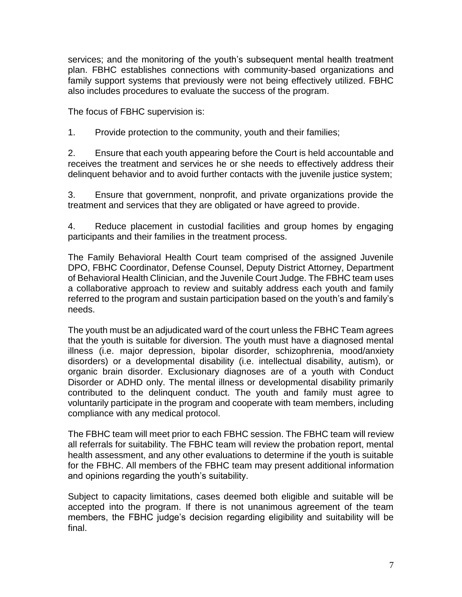services; and the monitoring of the youth's subsequent mental health treatment plan. FBHC establishes connections with community-based organizations and family support systems that previously were not being effectively utilized. FBHC also includes procedures to evaluate the success of the program.

The focus of FBHC supervision is:

1. Provide protection to the community, youth and their families;

2. Ensure that each youth appearing before the Court is held accountable and receives the treatment and services he or she needs to effectively address their delinquent behavior and to avoid further contacts with the juvenile justice system;

3. Ensure that government, nonprofit, and private organizations provide the treatment and services that they are obligated or have agreed to provide.

4. Reduce placement in custodial facilities and group homes by engaging participants and their families in the treatment process.

The Family Behavioral Health Court team comprised of the assigned Juvenile DPO, FBHC Coordinator, Defense Counsel, Deputy District Attorney, Department of Behavioral Health Clinician, and the Juvenile Court Judge. The FBHC team uses a collaborative approach to review and suitably address each youth and family referred to the program and sustain participation based on the youth's and family's needs.

The youth must be an adjudicated ward of the court unless the FBHC Team agrees that the youth is suitable for diversion. The youth must have a diagnosed mental illness (i.e. major depression, bipolar disorder, schizophrenia, mood/anxiety disorders) or a developmental disability (i.e. intellectual disability, autism), or organic brain disorder. Exclusionary diagnoses are of a youth with Conduct Disorder or ADHD only. The mental illness or developmental disability primarily contributed to the delinquent conduct. The youth and family must agree to voluntarily participate in the program and cooperate with team members, including compliance with any medical protocol.

The FBHC team will meet prior to each FBHC session. The FBHC team will review all referrals for suitability. The FBHC team will review the probation report, mental health assessment, and any other evaluations to determine if the youth is suitable for the FBHC. All members of the FBHC team may present additional information and opinions regarding the youth's suitability.

Subject to capacity limitations, cases deemed both eligible and suitable will be accepted into the program. If there is not unanimous agreement of the team members, the FBHC judge's decision regarding eligibility and suitability will be final.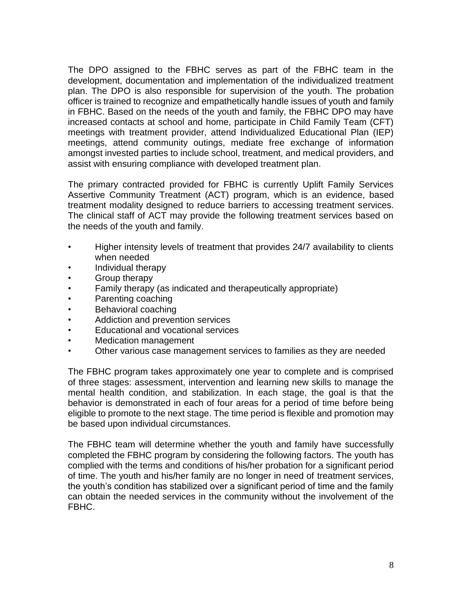The DPO assigned to the FBHC serves as part of the FBHC team in the development, documentation and implementation of the individualized treatment plan. The DPO is also responsible for supervision of the youth. The probation officer is trained to recognize and empathetically handle issues of youth and family in FBHC. Based on the needs of the youth and family, the FBHC DPO may have increased contacts at school and home, participate in Child Family Team (CFT) meetings with treatment provider, attend Individualized Educational Plan (IEP) meetings, attend community outings, mediate free exchange of information amongst invested parties to include school, treatment, and medical providers, and assist with ensuring compliance with developed treatment plan.

The primary contracted provided for FBHC is currently Uplift Family Services Assertive Community Treatment (ACT) program, which is an evidence, based treatment modality designed to reduce barriers to accessing treatment services. The clinical staff of ACT may provide the following treatment services based on the needs of the youth and family.

- Higher intensity levels of treatment that provides 24/7 availability to clients when needed
- Individual therapy
- Group therapy
- Family therapy (as indicated and therapeutically appropriate)
- Parenting coaching
- Behavioral coaching
- Addiction and prevention services
- Educational and vocational services
- Medication management
- Other various case management services to families as they are needed

The FBHC program takes approximately one year to complete and is comprised of three stages: assessment, intervention and learning new skills to manage the mental health condition, and stabilization. In each stage, the goal is that the behavior is demonstrated in each of four areas for a period of time before being eligible to promote to the next stage. The time period is flexible and promotion may be based upon individual circumstances.

The FBHC team will determine whether the youth and family have successfully completed the FBHC program by considering the following factors. The youth has complied with the terms and conditions of his/her probation for a significant period of time. The youth and his/her family are no longer in need of treatment services, the youth's condition has stabilized over a significant period of time and the family can obtain the needed services in the community without the involvement of the FBHC.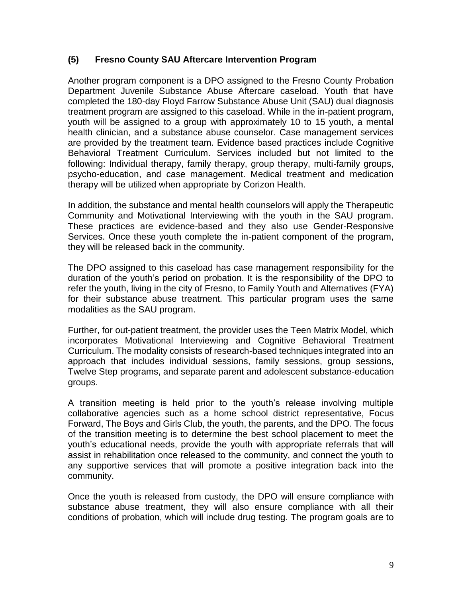#### **(5) Fresno County SAU Aftercare Intervention Program**

Another program component is a DPO assigned to the Fresno County Probation Department Juvenile Substance Abuse Aftercare caseload. Youth that have completed the 180-day Floyd Farrow Substance Abuse Unit (SAU) dual diagnosis treatment program are assigned to this caseload. While in the in-patient program, youth will be assigned to a group with approximately 10 to 15 youth, a mental health clinician, and a substance abuse counselor. Case management services are provided by the treatment team. Evidence based practices include Cognitive Behavioral Treatment Curriculum. Services included but not limited to the following: Individual therapy, family therapy, group therapy, multi-family groups, psycho-education, and case management. Medical treatment and medication therapy will be utilized when appropriate by Corizon Health.

In addition, the substance and mental health counselors will apply the Therapeutic Community and Motivational Interviewing with the youth in the SAU program. These practices are evidence-based and they also use Gender-Responsive Services. Once these youth complete the in-patient component of the program, they will be released back in the community.

The DPO assigned to this caseload has case management responsibility for the duration of the youth's period on probation. It is the responsibility of the DPO to refer the youth, living in the city of Fresno, to Family Youth and Alternatives (FYA) for their substance abuse treatment. This particular program uses the same modalities as the SAU program.

Further, for out-patient treatment, the provider uses the Teen Matrix Model, which incorporates Motivational Interviewing and Cognitive Behavioral Treatment Curriculum. The modality consists of research-based techniques integrated into an approach that includes individual sessions, family sessions, group sessions, Twelve Step programs, and separate parent and adolescent substance-education groups.

A transition meeting is held prior to the youth's release involving multiple collaborative agencies such as a home school district representative, Focus Forward, The Boys and Girls Club, the youth, the parents, and the DPO. The focus of the transition meeting is to determine the best school placement to meet the youth's educational needs, provide the youth with appropriate referrals that will assist in rehabilitation once released to the community, and connect the youth to any supportive services that will promote a positive integration back into the community.

Once the youth is released from custody, the DPO will ensure compliance with substance abuse treatment, they will also ensure compliance with all their conditions of probation, which will include drug testing. The program goals are to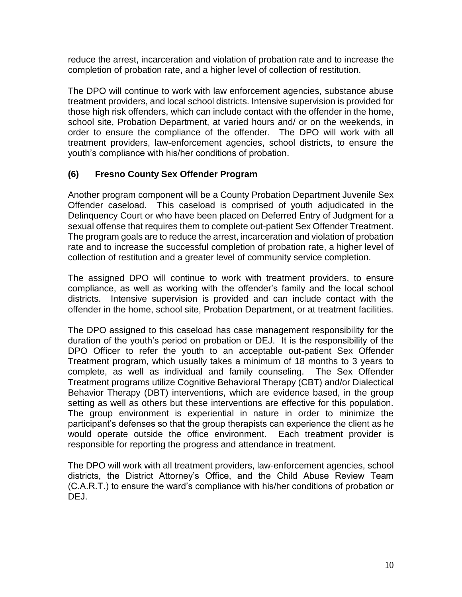reduce the arrest, incarceration and violation of probation rate and to increase the completion of probation rate, and a higher level of collection of restitution.

The DPO will continue to work with law enforcement agencies, substance abuse treatment providers, and local school districts. Intensive supervision is provided for those high risk offenders, which can include contact with the offender in the home, school site, Probation Department, at varied hours and/ or on the weekends, in order to ensure the compliance of the offender. The DPO will work with all treatment providers, law-enforcement agencies, school districts, to ensure the youth's compliance with his/her conditions of probation.

### **(6) Fresno County Sex Offender Program**

Another program component will be a County Probation Department Juvenile Sex Offender caseload. This caseload is comprised of youth adjudicated in the Delinquency Court or who have been placed on Deferred Entry of Judgment for a sexual offense that requires them to complete out-patient Sex Offender Treatment. The program goals are to reduce the arrest, incarceration and violation of probation rate and to increase the successful completion of probation rate, a higher level of collection of restitution and a greater level of community service completion.

The assigned DPO will continue to work with treatment providers, to ensure compliance, as well as working with the offender's family and the local school districts. Intensive supervision is provided and can include contact with the offender in the home, school site, Probation Department, or at treatment facilities.

The DPO assigned to this caseload has case management responsibility for the duration of the youth's period on probation or DEJ. It is the responsibility of the DPO Officer to refer the youth to an acceptable out-patient Sex Offender Treatment program, which usually takes a minimum of 18 months to 3 years to complete, as well as individual and family counseling. The Sex Offender Treatment programs utilize Cognitive Behavioral Therapy (CBT) and/or Dialectical Behavior Therapy (DBT) interventions, which are evidence based, in the group setting as well as others but these interventions are effective for this population. The group environment is experiential in nature in order to minimize the participant's defenses so that the group therapists can experience the client as he would operate outside the office environment. Each treatment provider is responsible for reporting the progress and attendance in treatment.

The DPO will work with all treatment providers, law-enforcement agencies, school districts, the District Attorney's Office, and the Child Abuse Review Team (C.A.R.T.) to ensure the ward's compliance with his/her conditions of probation or DEJ.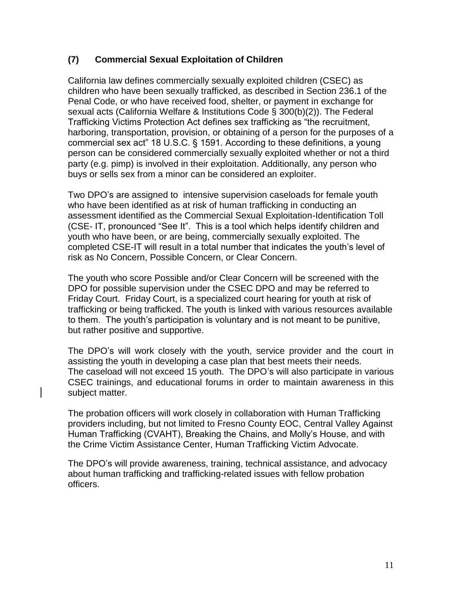#### **(7) Commercial Sexual Exploitation of Children**

California law defines commercially sexually exploited children (CSEC) as children who have been sexually trafficked, as described in Section 236.1 of the Penal Code, or who have received food, shelter, or payment in exchange for sexual acts (California Welfare & Institutions Code § 300(b)(2)). The Federal Trafficking Victims Protection Act defines sex trafficking as "the recruitment, harboring, transportation, provision, or obtaining of a person for the purposes of a commercial sex act" 18 U.S.C. § 1591. According to these definitions, a young person can be considered commercially sexually exploited whether or not a third party (e.g. pimp) is involved in their exploitation. Additionally, any person who buys or sells sex from a minor can be considered an exploiter.

Two DPO's are assigned to intensive supervision caseloads for female youth who have been identified as at risk of human trafficking in conducting an assessment identified as the Commercial Sexual Exploitation-Identification Toll (CSE- IT, pronounced "See It". This is a tool which helps identify children and youth who have been, or are being, commercially sexually exploited. The completed CSE-IT will result in a total number that indicates the youth's level of risk as No Concern, Possible Concern, or Clear Concern.

The youth who score Possible and/or Clear Concern will be screened with the DPO for possible supervision under the CSEC DPO and may be referred to Friday Court. Friday Court, is a specialized court hearing for youth at risk of trafficking or being trafficked. The youth is linked with various resources available to them. The youth's participation is voluntary and is not meant to be punitive, but rather positive and supportive.

The DPO's will work closely with the youth, service provider and the court in assisting the youth in developing a case plan that best meets their needs. The caseload will not exceed 15 youth. The DPO's will also participate in various CSEC trainings, and educational forums in order to maintain awareness in this subject matter.

The probation officers will work closely in collaboration with Human Trafficking providers including, but not limited to Fresno County EOC, Central Valley Against Human Trafficking (CVAHT), Breaking the Chains, and Molly's House, and with the Crime Victim Assistance Center, Human Trafficking Victim Advocate.

The DPO's will provide awareness, training, technical assistance, and advocacy about human trafficking and trafficking-related issues with fellow probation officers.